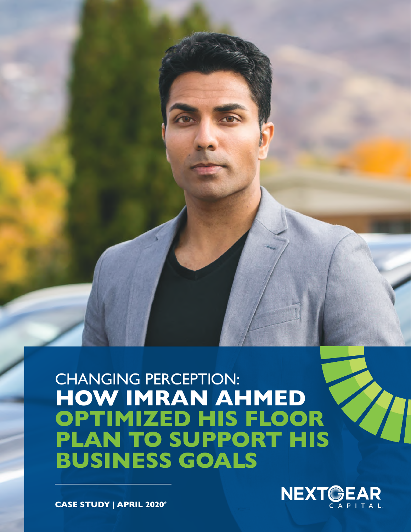# CHANGING PERCEPTION: **HOW IMRAN AHMED OPTIMIZED HIS FLOOR PLAN TO SUPPORT HIS BUSINESS GOALS**



**CASE STUDY | APRIL 2020\***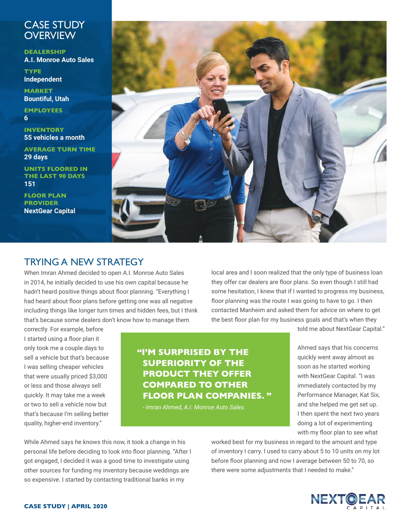## CASE STUDY **OVERVIEW**

**DEALERSHIP A.I. Monroe Auto Sales**

**TYPE Independent**

**MARKET Bountiful, Utah**

**EMPLOYEES 6**

**INVENTORY 55 vehicles a month**

**AVERAGE TURN TIME 29 days**

**UNITS FLOORED IN THE LAST 90 DAYS 151** 

**FLOOR PLAN PROVIDER NextGear Capital**



# TRYING A NEW STRATEGY

When Imran Ahmed decided to open A.I. Monroe Auto Sales in 2014, he initially decided to use his own capital because he hadn't heard positive things about floor planning. "Everything I had heard about floor plans before getting one was all negative including things like longer turn times and hidden fees, but I think that's because some dealers don't know how to manage them

local area and I soon realized that the only type of business loan they offer car dealers are floor plans. So even though I still had some hesitation, I knew that if I wanted to progress my business, floor planning was the route I was going to have to go. I then contacted Manheim and asked them for advice on where to get the best floor plan for my business goals and that's when they

correctly. For example, before I started using a floor plan it only took me a couple days to sell a vehicle but that's because I was selling cheaper vehicles that were usually priced \$3,000 or less and those always sell quickly. It may take me a week or two to sell a vehicle now but that's because I'm selling better quality, higher-end inventory."

**"I'M SURPRISED BY THE SUPERIORITY OF THE PRODUCT THEY OFFER COMPARED TO OTHER FLOOR PLAN COMPANIES. "**

*- Imran Ahmed, A.I. Monroe Auto Sales*

told me about NextGear Capital."

Ahmed says that his concerns quickly went away almost as soon as he started working with NextGear Capital. "I was immediately contacted by my Performance Manager, Kat Six, and she helped me get set up. I then spent the next two years doing a lot of experimenting with my floor plan to see what

While Ahmed says he knows this now, it took a change in his personal life before deciding to look into floor planning. "After I got engaged, I decided it was a good time to investigate using other sources for funding my inventory because weddings are so expensive. I started by contacting traditional banks in my

worked best for my business in regard to the amount and type of inventory I carry. I used to carry about 5 to 10 units on my lot before floor planning and now I average between 50 to 70, so there were some adjustments that I needed to make."

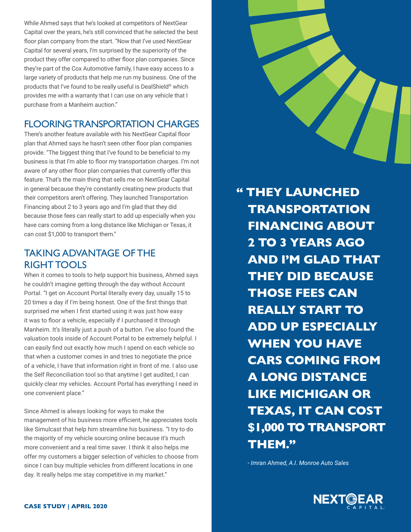While Ahmed says that he's looked at competitors of NextGear Capital over the years, he's still convinced that he selected the best floor plan company from the start. "Now that I've used NextGear Capital for several years, I'm surprised by the superiority of the product they offer compared to other floor plan companies. Since they're part of the Cox Automotive family, I have easy access to a large variety of products that help me run my business. One of the products that I've found to be really useful is DealShield® which provides me with a warranty that I can use on any vehicle that I purchase from a Manheim auction."

# FLOORING TRANSPORTATION CHARGES

There's another feature available with his NextGear Capital floor plan that Ahmed says he hasn't seen other floor plan companies provide. "The biggest thing that I've found to be beneficial to my business is that I'm able to floor my transportation charges. I'm not aware of any other floor plan companies that currently offer this feature. That's the main thing that sells me on NextGear Capital in general because they're constantly creating new products that their competitors aren't offering. They launched Transportation Financing about 2 to 3 years ago and I'm glad that they did because those fees can really start to add up especially when you have cars coming from a long distance like Michigan or Texas, it can cost \$1,000 to transport them."

## TAKING ADVANTAGE OF THE RIGHT TOOLS

When it comes to tools to help support his business, Ahmed says he couldn't imagine getting through the day without Account Portal. "I get on Account Portal literally every day, usually 15 to 20 times a day if I'm being honest. One of the first things that surprised me when I first started using it was just how easy it was to floor a vehicle, especially if I purchased it through Manheim. It's literally just a push of a button. I've also found the valuation tools inside of Account Portal to be extremely helpful. I can easily find out exactly how much I spend on each vehicle so that when a customer comes in and tries to negotiate the price of a vehicle, I have that information right in front of me. I also use the Self Reconciliation tool so that anytime I get audited, I can quickly clear my vehicles. Account Portal has everything I need in one convenient place."

Since Ahmed is always looking for ways to make the management of his business more efficient, he appreciates tools like Simulcast that help him streamline his business. "I try to do the majority of my vehicle sourcing online because it's much more convenient and a real time saver. I think it also helps me offer my customers a bigger selection of vehicles to choose from since I can buy multiple vehicles from different locations in one day. It really helps me stay competitive in my market."



*- Imran Ahmed, A.I. Monroe Auto Sales*

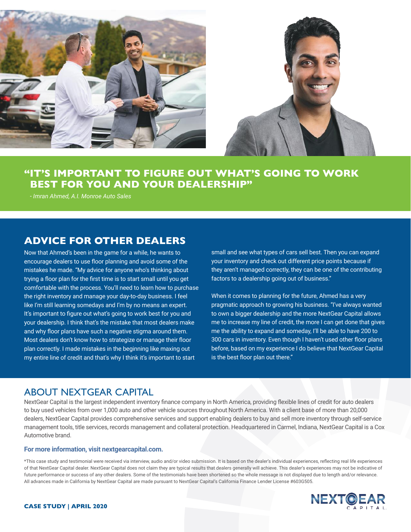

## **"IT'S IMPORTANT TO FIGURE OUT WHAT'S GOING TO WORK BEST FOR YOU AND YOUR DEALERSHIP"**

*- Imran Ahmed, A.I. Monroe Auto Sales*

#### **ADVICE FOR OTHER DEALERS**

Now that Ahmed's been in the game for a while, he wants to encourage dealers to use floor planning and avoid some of the mistakes he made. "My advice for anyone who's thinking about trying a floor plan for the first time is to start small until you get comfortable with the process. You'll need to learn how to purchase the right inventory and manage your day-to-day business. I feel like I'm still learning somedays and I'm by no means an expert. It's important to figure out what's going to work best for you and your dealership. I think that's the mistake that most dealers make and why floor plans have such a negative stigma around them. Most dealers don't know how to strategize or manage their floor plan correctly. I made mistakes in the beginning like maxing out my entire line of credit and that's why I think it's important to start

small and see what types of cars sell best. Then you can expand your inventory and check out different price points because if they aren't managed correctly, they can be one of the contributing factors to a dealership going out of business."

When it comes to planning for the future, Ahmed has a very pragmatic approach to growing his business. "I've always wanted to own a bigger dealership and the more NextGear Capital allows me to increase my line of credit, the more I can get done that gives me the ability to expand and someday, I'll be able to have 200 to 300 cars in inventory. Even though I haven't used other floor plans before, based on my experience I do believe that NextGear Capital is the best floor plan out there."

#### ABOUT NEXTGEAR CAPITAL

NextGear Capital is the largest independent inventory finance company in North America, providing flexible lines of credit for auto dealers to buy used vehicles from over 1,000 auto and other vehicle sources throughout North America. With a client base of more than 20,000 dealers, NextGear Capital provides comprehensive services and support enabling dealers to buy and sell more inventory through self-service management tools, title services, records management and collateral protection. Headquartered in Carmel, Indiana, NextGear Capital is a Cox Automotive brand.

#### **For more information, visit nextgearcapital.com.**

\*This case study and testimonial were received via interview, audio and/or video submission. It is based on the dealer's individual experiences, reflecting real life experiences of that NextGear Capital dealer. NextGear Capital does not claim they are typical results that dealers generally will achieve. This dealer's experiences may not be indicative of future performance or success of any other dealers. Some of the testimonials have been shortened so the whole message is not displayed due to length and/or relevance. All advances made in California by NextGear Capital are made pursuant to NextGear Capital's California Finance Lender License #603G505.



#### **CASE STUDY | APRIL 2020**